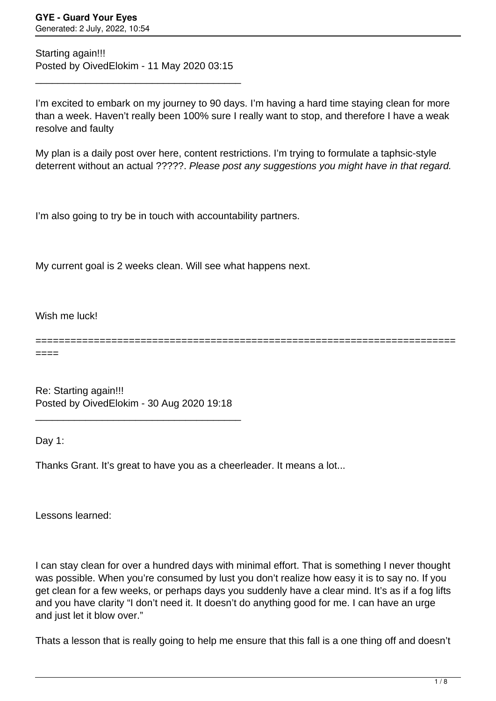Starting again!!! Posted by OivedElokim - 11 May 2020 03:15

\_\_\_\_\_\_\_\_\_\_\_\_\_\_\_\_\_\_\_\_\_\_\_\_\_\_\_\_\_\_\_\_\_\_\_\_\_

I'm excited to embark on my journey to 90 days. I'm having a hard time staying clean for more than a week. Haven't really been 100% sure I really want to stop, and therefore I have a weak resolve and faulty

My plan is a daily post over here, content restrictions. I'm trying to formulate a taphsic-style deterrent without an actual ?????. Please post any suggestions you might have in that regard.

I'm also going to try be in touch with accountability partners.

My current goal is 2 weeks clean. Will see what happens next.

Wish me luck!

========================================================================

====

Re: Starting again!!! Posted by OivedElokim - 30 Aug 2020 19:18

\_\_\_\_\_\_\_\_\_\_\_\_\_\_\_\_\_\_\_\_\_\_\_\_\_\_\_\_\_\_\_\_\_\_\_\_\_

Day 1:

Thanks Grant. It's great to have you as a cheerleader. It means a lot...

Lessons learned:

I can stay clean for over a hundred days with minimal effort. That is something I never thought was possible. When you're consumed by lust you don't realize how easy it is to say no. If you get clean for a few weeks, or perhaps days you suddenly have a clear mind. It's as if a fog lifts and you have clarity "I don't need it. It doesn't do anything good for me. I can have an urge and just let it blow over."

Thats a lesson that is really going to help me ensure that this fall is a one thing off and doesn't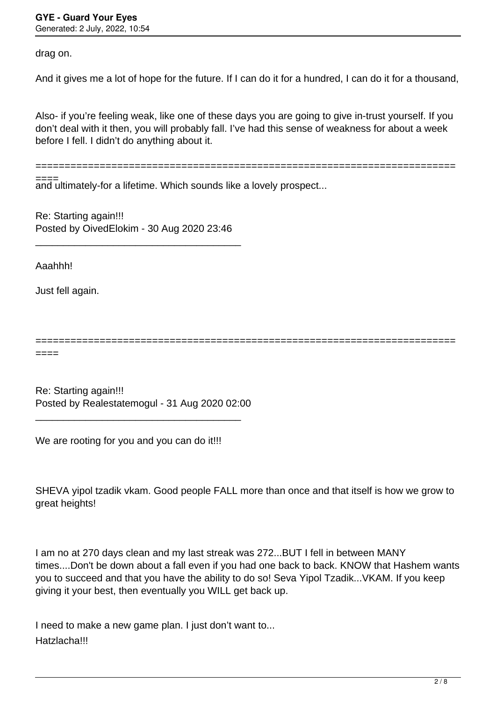drag on.

And it gives me a lot of hope for the future. If I can do it for a hundred, I can do it for a thousand,

Also- if you're feeling weak, like one of these days you are going to give in-trust yourself. If you don't deal with it then, you will probably fall. I've had this sense of weakness for about a week before I fell. I didn't do anything about it.

========================================================================

and ultimately-for a lifetime. Which sounds like a lovely prospect... ====

Re: Starting again!!! Posted by OivedElokim - 30 Aug 2020 23:46

\_\_\_\_\_\_\_\_\_\_\_\_\_\_\_\_\_\_\_\_\_\_\_\_\_\_\_\_\_\_\_\_\_\_\_\_\_

Aaahhh!

Just fell again.

========================================================================

====

Re: Starting again!!! Posted by Realestatemogul - 31 Aug 2020 02:00

\_\_\_\_\_\_\_\_\_\_\_\_\_\_\_\_\_\_\_\_\_\_\_\_\_\_\_\_\_\_\_\_\_\_\_\_\_

We are rooting for you and you can do it!!!

SHEVA yipol tzadik vkam. Good people FALL more than once and that itself is how we grow to great heights!

I am no at 270 days clean and my last streak was 272...BUT I fell in between MANY times....Don't be down about a fall even if you had one back to back. KNOW that Hashem wants you to succeed and that you have the ability to do so! Seva Yipol Tzadik...VKAM. If you keep giving it your best, then eventually you WILL get back up.

I need to make a new game plan. I just don't want to... Hatzlacha!!!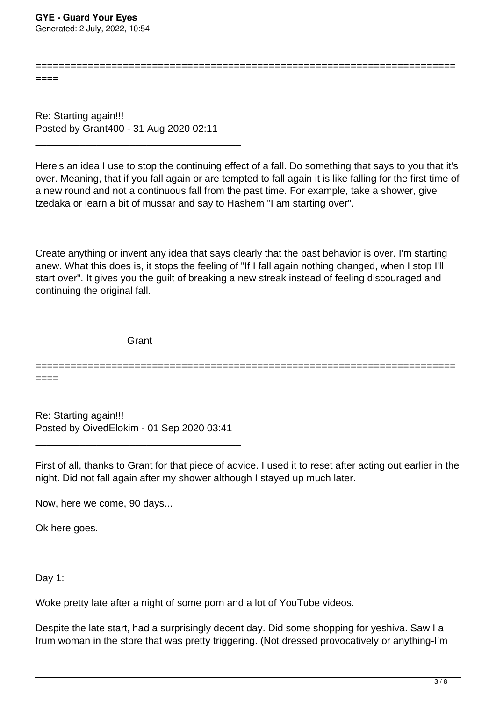====

Re: Starting again!!! Posted by Grant400 - 31 Aug 2020 02:11

\_\_\_\_\_\_\_\_\_\_\_\_\_\_\_\_\_\_\_\_\_\_\_\_\_\_\_\_\_\_\_\_\_\_\_\_\_

Here's an idea I use to stop the continuing effect of a fall. Do something that says to you that it's over. Meaning, that if you fall again or are tempted to fall again it is like falling for the first time of a new round and not a continuous fall from the past time. For example, take a shower, give tzedaka or learn a bit of mussar and say to Hashem "I am starting over".

========================================================================

Create anything or invent any idea that says clearly that the past behavior is over. I'm starting anew. What this does is, it stops the feeling of "If I fall again nothing changed, when I stop I'll start over". It gives you the guilt of breaking a new streak instead of feeling discouraged and continuing the original fall.

**Grant** 

========================================================================

====

Re: Starting again!!! Posted by OivedElokim - 01 Sep 2020 03:41

\_\_\_\_\_\_\_\_\_\_\_\_\_\_\_\_\_\_\_\_\_\_\_\_\_\_\_\_\_\_\_\_\_\_\_\_\_

First of all, thanks to Grant for that piece of advice. I used it to reset after acting out earlier in the night. Did not fall again after my shower although I stayed up much later.

Now, here we come, 90 days...

Ok here goes.

Day 1:

Woke pretty late after a night of some porn and a lot of YouTube videos.

Despite the late start, had a surprisingly decent day. Did some shopping for yeshiva. Saw I a frum woman in the store that was pretty triggering. (Not dressed provocatively or anything-I'm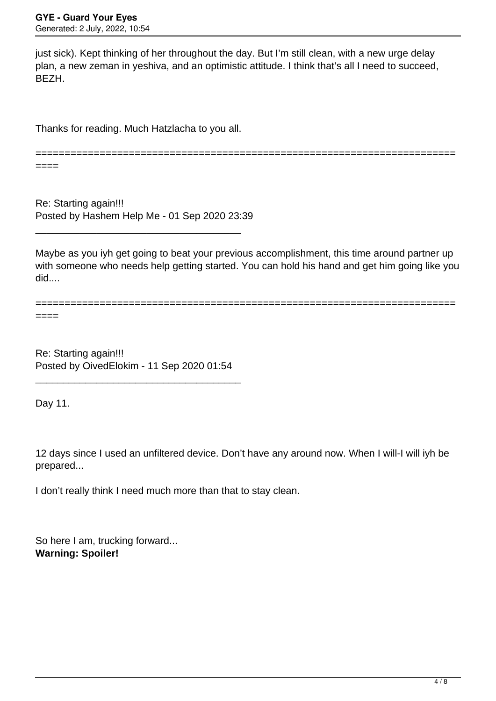just sick). Kept thinking of her throughout the day. But I'm still clean, with a new urge delay plan, a new zeman in yeshiva, and an optimistic attitude. I think that's all I need to succeed, BEZH.

Thanks for reading. Much Hatzlacha to you all.

========================================================================

====

Re: Starting again!!! Posted by Hashem Help Me - 01 Sep 2020 23:39

\_\_\_\_\_\_\_\_\_\_\_\_\_\_\_\_\_\_\_\_\_\_\_\_\_\_\_\_\_\_\_\_\_\_\_\_\_

Maybe as you iyh get going to beat your previous accomplishment, this time around partner up with someone who needs help getting started. You can hold his hand and get him going like you did....

======================================================================== ====

Re: Starting again!!! Posted by OivedElokim - 11 Sep 2020 01:54

\_\_\_\_\_\_\_\_\_\_\_\_\_\_\_\_\_\_\_\_\_\_\_\_\_\_\_\_\_\_\_\_\_\_\_\_\_

Day 11.

12 days since I used an unfiltered device. Don't have any around now. When I will-I will iyh be prepared...

I don't really think I need much more than that to stay clean.

So here I am, trucking forward... **Warning: Spoiler!**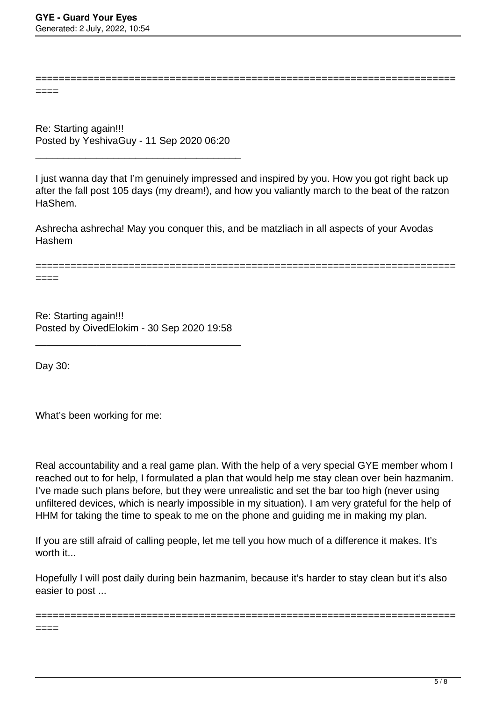====

Re: Starting again!!! Posted by YeshivaGuy - 11 Sep 2020 06:20

\_\_\_\_\_\_\_\_\_\_\_\_\_\_\_\_\_\_\_\_\_\_\_\_\_\_\_\_\_\_\_\_\_\_\_\_\_

I just wanna day that I'm genuinely impressed and inspired by you. How you got right back up after the fall post 105 days (my dream!), and how you valiantly march to the beat of the ratzon HaShem.

========================================================================

Ashrecha ashrecha! May you conquer this, and be matzliach in all aspects of your Avodas Hashem

========================================================================

Re: Starting again!!! Posted by OivedElokim - 30 Sep 2020 19:58

\_\_\_\_\_\_\_\_\_\_\_\_\_\_\_\_\_\_\_\_\_\_\_\_\_\_\_\_\_\_\_\_\_\_\_\_\_

Day 30:

====

What's been working for me:

Real accountability and a real game plan. With the help of a very special GYE member whom I reached out to for help, I formulated a plan that would help me stay clean over bein hazmanim. I've made such plans before, but they were unrealistic and set the bar too high (never using unfiltered devices, which is nearly impossible in my situation). I am very grateful for the help of HHM for taking the time to speak to me on the phone and guiding me in making my plan.

If you are still afraid of calling people, let me tell you how much of a difference it makes. It's worth it...

Hopefully I will post daily during bein hazmanim, because it's harder to stay clean but it's also easier to post ...

========================================================================

====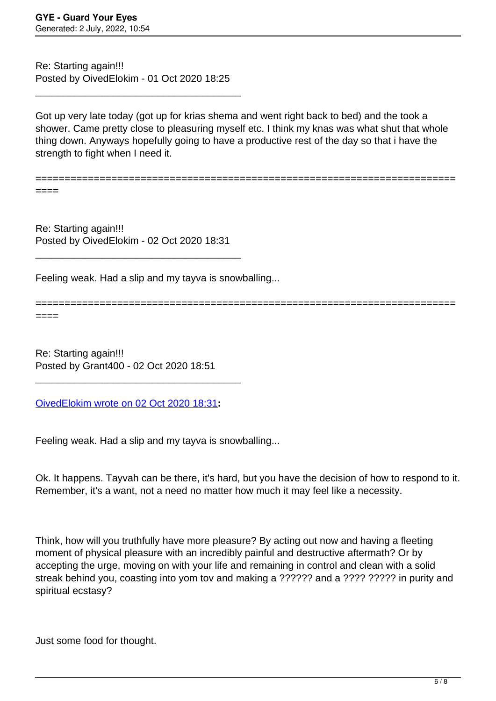Re: Starting again!!! Posted by OivedElokim - 01 Oct 2020 18:25

\_\_\_\_\_\_\_\_\_\_\_\_\_\_\_\_\_\_\_\_\_\_\_\_\_\_\_\_\_\_\_\_\_\_\_\_\_

Got up very late today (got up for krias shema and went right back to bed) and the took a shower. Came pretty close to pleasuring myself etc. I think my knas was what shut that whole thing down. Anyways hopefully going to have a productive rest of the day so that i have the strength to fight when I need it.

========================================================================

====

Re: Starting again!!! Posted by OivedElokim - 02 Oct 2020 18:31

\_\_\_\_\_\_\_\_\_\_\_\_\_\_\_\_\_\_\_\_\_\_\_\_\_\_\_\_\_\_\_\_\_\_\_\_\_

Feeling weak. Had a slip and my tayva is snowballing...

======================================================================== ====

Re: Starting again!!! Posted by Grant400 - 02 Oct 2020 18:51

[OivedElokim wrote on 02 Oct 2020 18:31](/forum/4-On-the-Way-to-90-Days/355736-Re-Starting-again%21%21%21)**:**

\_\_\_\_\_\_\_\_\_\_\_\_\_\_\_\_\_\_\_\_\_\_\_\_\_\_\_\_\_\_\_\_\_\_\_\_\_

Feeling weak. Had a slip and my tayva is snowballing...

Ok. It happens. Tayvah can be there, it's hard, but you have the decision of how to respond to it. Remember, it's a want, not a need no matter how much it may feel like a necessity.

Think, how will you truthfully have more pleasure? By acting out now and having a fleeting moment of physical pleasure with an incredibly painful and destructive aftermath? Or by accepting the urge, moving on with your life and remaining in control and clean with a solid streak behind you, coasting into yom tov and making a ?????? and a ???? ?????? in purity and spiritual ecstasy?

Just some food for thought.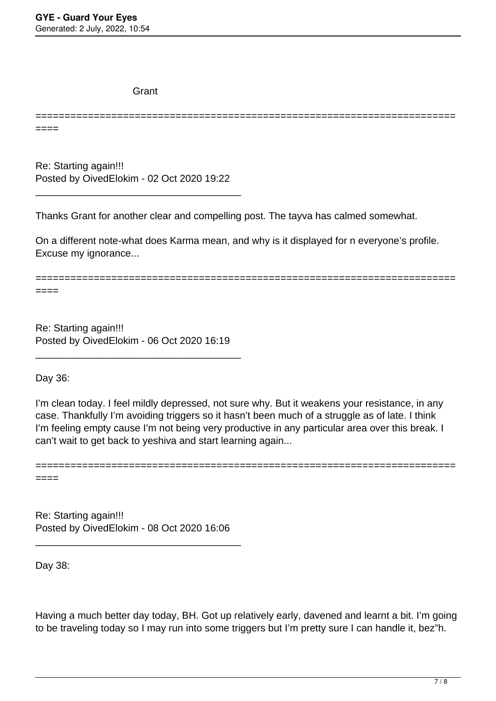**Grant** 

======================================================================== ====

Re: Starting again!!! Posted by OivedElokim - 02 Oct 2020 19:22

\_\_\_\_\_\_\_\_\_\_\_\_\_\_\_\_\_\_\_\_\_\_\_\_\_\_\_\_\_\_\_\_\_\_\_\_\_

Thanks Grant for another clear and compelling post. The tayva has calmed somewhat.

On a different note-what does Karma mean, and why is it displayed for n everyone's profile. Excuse my ignorance...

========================================================================

====

Re: Starting again!!! Posted by OivedElokim - 06 Oct 2020 16:19

\_\_\_\_\_\_\_\_\_\_\_\_\_\_\_\_\_\_\_\_\_\_\_\_\_\_\_\_\_\_\_\_\_\_\_\_\_

Day 36:

I'm clean today. I feel mildly depressed, not sure why. But it weakens your resistance, in any case. Thankfully I'm avoiding triggers so it hasn't been much of a struggle as of late. I think I'm feeling empty cause I'm not being very productive in any particular area over this break. I can't wait to get back to yeshiva and start learning again...

========================================================================

====

Re: Starting again!!! Posted by OivedElokim - 08 Oct 2020 16:06

\_\_\_\_\_\_\_\_\_\_\_\_\_\_\_\_\_\_\_\_\_\_\_\_\_\_\_\_\_\_\_\_\_\_\_\_\_

Day 38:

Having a much better day today, BH. Got up relatively early, davened and learnt a bit. I'm going to be traveling today so I may run into some triggers but I'm pretty sure I can handle it, bez"h.